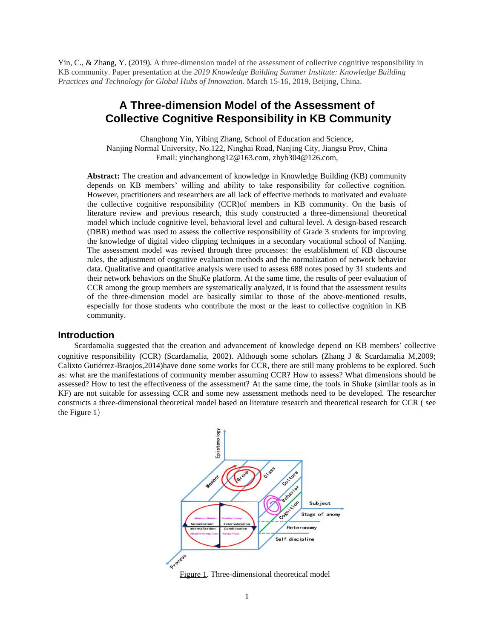Yin, C., & Zhang, Y. (2019). A three-dimension model of the assessment of collective cognitive responsibility in KB community. Paper presentation at the *2019 Knowledge Building Summer Institute: Knowledge Building Practices and Technology for Global Hubs of Innovation.* March 15-16, 2019, Beijing, China.

# **A Three-dimension Model of the Assessment of Collective Cognitive Responsibility in KB Community**

Changhong Yin, Yibing Zhang, School of Education and Science, Nanjing Normal University, No.122, Ninghai Road, Nanjing City, Jiangsu Prov, China Email: yinchanghong12@163.com, zhyb304@126.com,

**Abstract:** The creation and advancement of knowledge in Knowledge Building (KB) community depends on KB members' willing and ability to take responsibility for collective cognition. However, practitioners and researchers are all lack of effective methods to motivated and evaluate the collective cognitive responsibility (CCR)of members in KB community. On the basis of literature review and previous research, this study constructed a three-dimensional theoretical model which include cognitive level, behavioral level and cultural level. A design-based research (DBR) method was used to assess the collective responsibility of Grade 3 students for improving the knowledge of digital video clipping techniques in a secondary vocational school of Nanjing. The assessment model was revised through three processes: the establishment of KB discourse rules, the adjustment of cognitive evaluation methods and the normalization of network behavior data. Qualitative and quantitative analysis were used to assess 688 notes posed by 31 students and their network behaviors on the ShuKe platform. At the same time, the results of peer evaluation of CCR among the group members are systematically analyzed, it is found that the assessment results of the three-dimension model are basically similar to those of the above-mentioned results, especially for those students who contribute the most or the least to collective cognition in KB community.

### **Introduction**

Scardamalia suggested that the creation and advancement of knowledge depend on KB members' collective cognitive responsibility (CCR) (Scardamalia, 2002). Although some scholars (Zhang J & Scardamalia M,2009; Calixto Gutiérrez-Braojos,2014)have done some works for CCR, there are still many problems to be explored. Such as: what are the manifestations of community member assuming CCR? How to assess? What dimensions should be assessed? How to test the effectiveness of the assessment? At the same time, the tools in Shuke (similar tools as in KF) are not suitable for assessing CCR and some new assessment methods need to be developed. The researcher constructs a three-dimensional theoretical model based on literature research and theoretical research for CCR ( see the Figure 1)



Figure 1. Three-dimensional theoretical model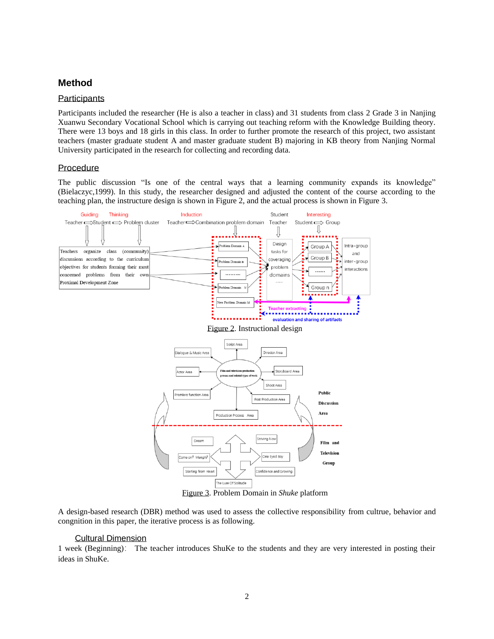## **Method**

#### **Participants**

Participants included the researcher (He is also a teacher in class) and 31 students from class 2 Grade 3 in Nanjing Xuanwu Secondary Vocational School which is carrying out teaching reform with the Knowledge Building theory. There were 13 boys and 18 girls in this class. In order to further promote the research of this project, two assistant teachers (master graduate student A and master graduate student B) majoring in KB theory from Nanjing Normal University participated in the research for collecting and recording data.

#### **Procedure**

The public discussion "Is one of the central ways that a learning community expands its knowledge" (Bielaczyc,1999). In this study, the researcher designed and adjusted the content of the course according to the teaching plan, the instructure design is shown in Figure 2, and the actual process is shown in Figure 3.



Figure 3. Problem Domain in *Shuke* platform

A design-based research (DBR) method was used to assess the collective responsibility from cultrue, behavior and congnition in this paper, the iterative process is as following.

#### Cultural Dimension

1 week (Beginning): The teacher introduces ShuKe to the students and they are very interested in posting their ideas in ShuKe.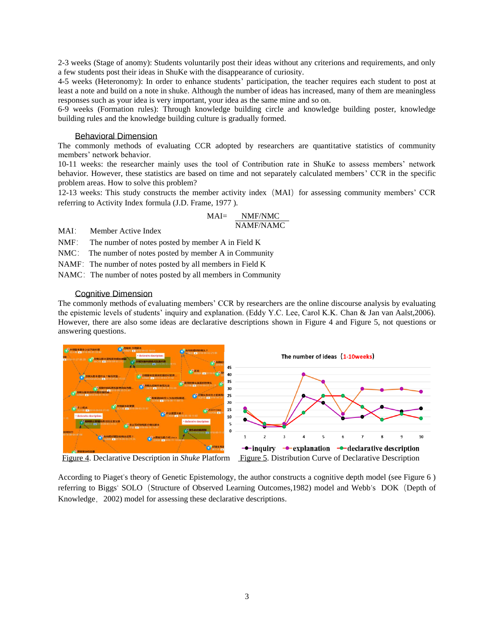2-3 weeks (Stage of anomy): Students voluntarily post their ideas without any criterions and requirements, and only a few students post their ideas in ShuKe with the disappearance of curiosity.

4-5 weeks (Heteronomy): In order to enhance students' participation, the teacher requires each student to post at least a note and build on a note in shuke. Although the number of ideas has increased, many of them are meaningless responses such as your idea is very important, your idea as the same mine and so on.

6-9 weeks (Formation rules): Through knowledge building circle and knowledge building poster, knowledge building rules and the knowledge building culture is gradually formed.

#### Behavioral Dimension

The commonly methods of evaluating CCR adopted by researchers are quantitative statistics of community members' network behavior.

10-11 weeks: the researcher mainly uses the tool of Contribution rate in ShuKe to assess members' network behavior. However, these statistics are based on time and not separately calculated members' CCR in the specific problem areas. How to solve this problem?

12-13 weeks: This study constructs the member activity index (MAI) for assessing community members' CCR referring to Activity Index formula (J.D. Frame, 1977 ).

MAI= NMF/NMC NAMF/NAMC

MAI: Member Active Index

NMF: The number of notes posted by member A in Field K

NMC: The number of notes posted by member A in Community

NAMF: The number of notes posted by all members in Field K

NAMC: The number of notes posted by all members in Community

#### Cognitive Dimension

The commonly methods of evaluating members' CCR by researchers are the online discourse analysis by evaluating the epistemic levels of students' inquiry and explanation. (Eddy Y.C. Lee, Carol K.K. Chan & Jan van Aalst,2006). However, there are also some ideas are declarative descriptions shown in Figure 4 and Figure 5, not questions or answering questions.



According to Piaget's theory of Genetic Epistemology, the author constructs a cognitive depth model (see Figure 6 ) referring to Biggs' SOLO (Structure of Observed Learning Outcomes,1982) model and Webb's DOK (Depth of Knowledge, 2002) model for assessing these declarative descriptions.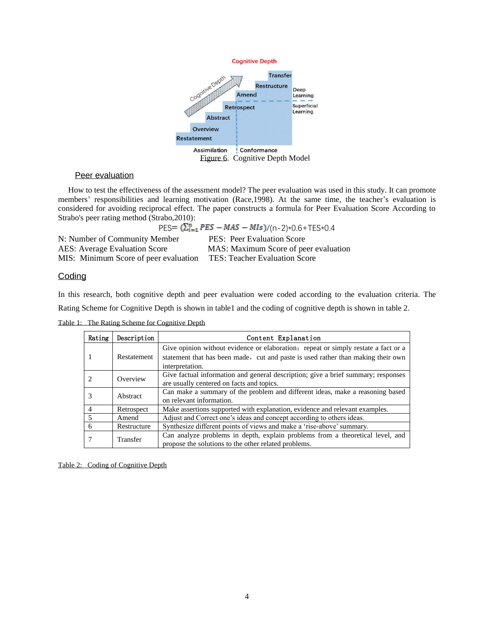

### Peer evaluation

 How to test the effectiveness of the assessment model? The peer evaluation was used in this study. It can promote members' responsibilities and learning motivation (Race,1998). At the same time, the teacher's evaluation is considered for avoiding reciprocal effect. The paper constructs a formula for Peer Evaluation Score According to Strabo's peer rating method (Strabo,2010):

 $PES = (\sum_{i=1}^{n} PES - MAS - MIS)/((n-2)*0.6 + TES*0.4)$ N: Number of Community Member PES: Peer Evaluation Score AES: Average Evaluation Score MAS: Maximum Score of peer evaluation MIS: Minimum Score of peer evaluation TES: Teacher Evaluation Score

#### **Coding**

In this research, both cognitive depth and peer evaluation were coded according to the evaluation criteria. The Rating Scheme for Cognitive Depth is shown in table1 and the coding of cognitive depth is shown in table 2.

| Rating                      | Description | Content Explanation                                                                                                                                                                       |  |  |
|-----------------------------|-------------|-------------------------------------------------------------------------------------------------------------------------------------------------------------------------------------------|--|--|
|                             | Restatement | Give opinion without evidence or elaboration; repeat or simply restate a fact or a<br>statement that has been made, cut and paste is used rather than making their own<br>interpretation. |  |  |
| $\mathcal{D}_{\mathcal{L}}$ | Overview    | Give factual information and general description; give a brief summary; responses<br>are usually centered on facts and topics.                                                            |  |  |
| 3                           | Abstract    | Can make a summary of the problem and different ideas, make a reasoning based<br>on relevant information.                                                                                 |  |  |
| $\overline{4}$              | Retrospect  | Make assertions supported with explanation, evidence and relevant examples.                                                                                                               |  |  |
| .5                          | Amend       | Adjust and Correct one's ideas and concept according to others ideas.                                                                                                                     |  |  |
| 6                           | Restructure | Synthesize different points of views and make a 'rise-above' summary.                                                                                                                     |  |  |
|                             | Transfer    | Can analyze problems in depth, explain problems from a theoretical level, and<br>propose the solutions to the other related problems.                                                     |  |  |

Table 1: The Rating Scheme for Cognitive Depth

Table 2: Coding of Cognitive Depth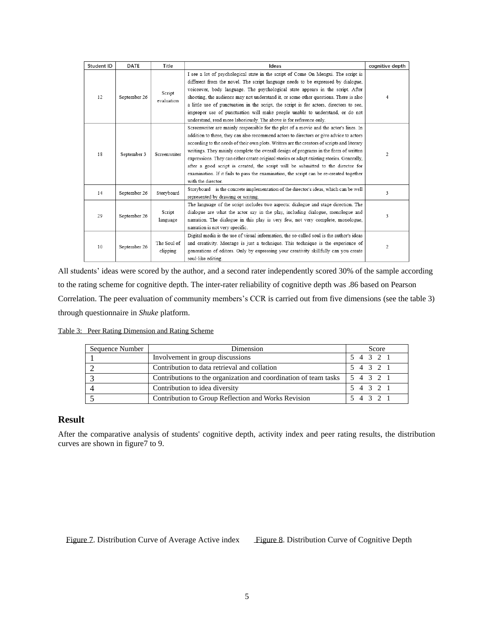| Student ID | <b>DATE</b>  | Title                                                                                                                                                                                                                                                                                                            | Ideas                                                                                                                                                                                                                                                                                                                                                                                                                                                                                                                                                                                                                                                                      | cognitive depth |
|------------|--------------|------------------------------------------------------------------------------------------------------------------------------------------------------------------------------------------------------------------------------------------------------------------------------------------------------------------|----------------------------------------------------------------------------------------------------------------------------------------------------------------------------------------------------------------------------------------------------------------------------------------------------------------------------------------------------------------------------------------------------------------------------------------------------------------------------------------------------------------------------------------------------------------------------------------------------------------------------------------------------------------------------|-----------------|
| 12         | September 26 | Script<br>evaluation                                                                                                                                                                                                                                                                                             | I see a lot of psychological state in the script of Come On Mengxi. The script is<br>different from the novel. The script language needs to be expressed by dialogue,<br>voiceover, body language. The psychological state appears in the script. After<br>shooting, the audience may not understand it, or some other questions. There is also<br>a little use of punctuation in the script, the script is for actors, directors to see,<br>improper use of punctuation will make people unable to understand, or do not<br>understand, read more laboriously. The above is for reference only.                                                                           | 4               |
| 18         | September 3  | Screenwriter                                                                                                                                                                                                                                                                                                     | Screenwriter are mainly responsible for the plot of a movie and the actor's lines. In<br>addition to these, they can also recommend actors to directors or give advice to actors<br>according to the needs of their own plots. Writers are the creators of scripts and literary<br>writings. They mainly complete the overall design of programs in the form of written<br>expressions. They can either create original stories or adapt existing stories. Generally,<br>after a good script is created, the script will be submitted to the director for<br>examination. If it fails to pass the examination, the script can be re-created together<br>with the director. | 2               |
| 14         | September 26 | Storyboard                                                                                                                                                                                                                                                                                                       | Storyboard is the concrete implementation of the director's ideas, which can be well<br>represented by drawing or writing.                                                                                                                                                                                                                                                                                                                                                                                                                                                                                                                                                 | 3               |
| 29         | September 26 | The language of the script includes two aspects: dialogue and stage direction. The<br>Script<br>dialogue are what the actor say in the play, including dialogue, monologue and<br>narration. The dialogue in this play is very few, not very complete, monologue,<br>language<br>narration is not very specific. |                                                                                                                                                                                                                                                                                                                                                                                                                                                                                                                                                                                                                                                                            | 3               |
| 10         | September 26 | The Soul of<br>clipping                                                                                                                                                                                                                                                                                          | Digital media is the use of visual information, the so-called soul is the author's ideas<br>and creativity. Montage is just a technique. This technique is the experience of<br>generations of editors. Only by expressing your creativity skillfully can you create<br>soul-like editing.                                                                                                                                                                                                                                                                                                                                                                                 | 2               |

All students' ideas were scored by the author, and a second rater independently scored 30% of the sample according to the rating scheme for cognitive depth. The inter-rater reliability of cognitive depth was .86 based on Pearson Correlation. The peer evaluation of community members's CCR is carried out from five dimensions (see the table 3) through questionnaire in *Shuke* platform.

| Table 3: Peer Rating Dimension and Rating Scheme |  |  |
|--------------------------------------------------|--|--|
|                                                  |  |  |

| Sequence Number | Dimension                                                        | Score     |
|-----------------|------------------------------------------------------------------|-----------|
|                 | Involvement in group discussions                                 | 5 4 3 2 1 |
|                 | Contribution to data retrieval and collation                     | 5 4 3 2 1 |
|                 | Contributions to the organization and coordination of team tasks | 54321     |
|                 | Contribution to idea diversity                                   | 5 4 3 2 1 |
|                 | Contribution to Group Reflection and Works Revision              | 5 4 3 2 1 |

### **Result**

After the comparative analysis of students' cognitive depth, activity index and peer rating results, the distribution curves are shown in figure7 to 9.

Figure 7. Distribution Curve of Average Active index Figure 8. Distribution Curve of Cognitive Depth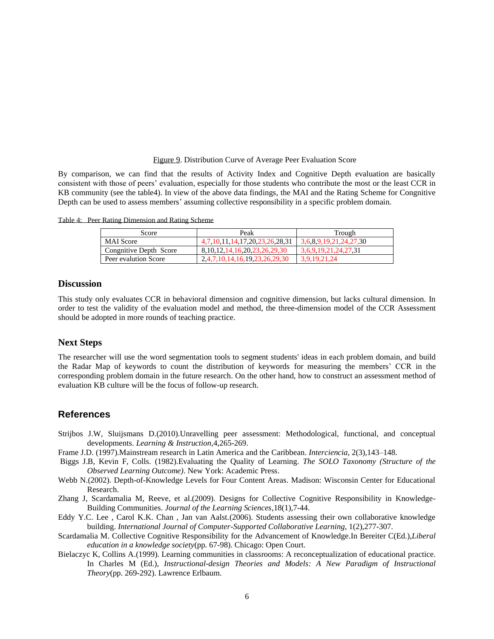#### Figure 9. Distribution Curve of Average Peer Evaluation Score

By comparison, we can find that the results of Activity Index and Cognitive Depth evaluation are basically consistent with those of peers' evaluation, especially for those students who contribute the most or the least CCR in KB community (see the table4). In view of the above data findings, the MAI and the Rating Scheme for Congnitive Depth can be used to assess members' assuming collective responsibility in a specific problem domain.

Table 4: Peer Rating Dimension and Rating Scheme

| Score                  | Peak                                  | Trough                 |
|------------------------|---------------------------------------|------------------------|
| <b>MAI</b> Score       | 4,7,10,11,14,17,20,23,26,28,31        | 3,6,8,9,19,21,24,27,30 |
| Congnitive Depth Score | 8, 10, 12, 14, 16, 20, 23, 26, 29, 30 | 3,6,9,19,21,24,27,31   |
| Peer evalution Score   | 2,4,7,10,14,16,19,23,26.29.30         | 3.9.19.21.24           |

### **Discussion**

This study only evaluates CCR in behavioral dimension and cognitive dimension, but lacks cultural dimension. In order to test the validity of the evaluation model and method, the three-dimension model of the CCR Assessment should be adopted in more rounds of teaching practice.

### **Next Steps**

The researcher will use the word segmentation tools to segment students' ideas in each problem domain, and build the Radar Map of keywords to count the distribution of keywords for measuring the members' CCR in the corresponding problem domain in the future research. On the other hand, how to construct an assessment method of evaluation KB culture will be the focus of follow-up research.

### **References**

- Strijbos J.W, Sluijsmans D.(2010).Unravelling peer assessment: Methodological, functional, and conceptual developments. *Learning & Instruction*,4,265-269.
- Frame J.D. (1997).Mainstream research in Latin America and the Caribbean. *Interciencia*, 2(3),143–148.
- Biggs J.B, Kevin F, Colls. (1982).Evaluating the Quality of Learning. *The SOLO Taxonomy (Structure of the Observed Learning Outcome)*. New York: Academic Press.
- Webb N.(2002). Depth-of-Knowledge Levels for Four Content Areas. Madison: Wisconsin Center for Educational Research.
- Zhang J, Scardamalia M, Reeve, et al.(2009). Designs for Collective Cognitive Responsibility in Knowledge-Building Communities. *Journal of the Learning Sciences*,18(1),7-44.
- Eddy Y.C. Lee , Carol K.K. Chan , Jan van Aalst.(2006). Students assessing their own collaborative knowledge building. *International Journal of Computer-Supported Collaborative Learning*, 1(2),277-307.
- Scardamalia M. Collective Cognitive Responsibility for the Advancement of Knowledge.In Bereiter C(Ed.),*Liberal education in a knowledge society*(pp. 67-98). Chicago: Open Court.
- Bielaczyc K, Collins A.(1999). Learning communities in classrooms: A reconceptualization of educational practice. In Charles M (Ed.), *Instructional-design Theories and Models: A New Paradigm of Instructional Theory*(pp. 269-292). Lawrence Erlbaum.